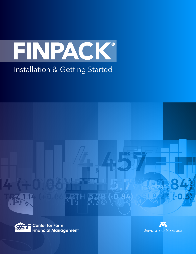





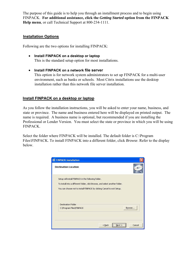The purpose of this guide is to help you through an installment process and to begin using FINPACK. **For additional assistance, click the** *Getting Started* **option from the FINPACK Help menu**, or call Technical Support at 800-234-1111.

### **Installation Options**

Following are the two options for installing FINPACK:

- **Install FINPACK on a desktop or laptop** This is the standard setup option for most installations.
- **Install FINPACK on a network file server**  This option is for network system administrators to set up FINPACK for a multi-user environment, such as banks or schools. Most Citrix installations use the desktop installation rather than this network file server installation.

### **Install FINPACK on a desktop or laptop**

As you follow the installation instructions, you will be asked to enter your name, business, and state or province. The name and business entered here will be displayed on printed output. The name is required. A business name is optional, but recommended if you are installing the Professional or Lender Version. You must select the state or province in which you will be using FINPACK.

Select the folder where FINPACK will be installed. The default folder is C:\Program Files\FINPACK. To install FINPACK into a different folder, click *Browse*. Refer to the display below.

| <b>FINPACK Installation</b>                                                  |          |                    |
|------------------------------------------------------------------------------|----------|--------------------|
| <b>Destination Location</b>                                                  |          | 68                 |
| Setup will install FINPACK in the following folder,                          |          |                    |
| To install into a different folder, click Browse, and select another folder. |          |                    |
| You can choose not to install FINPACK by clicking Cancel to exit Setup.      |          |                    |
| <b>Destination Folder</b>                                                    |          |                    |
| C:\Program Files\FINPACK                                                     |          | Browse             |
|                                                                              | $<$ Back | <br>Cancel<br>Next |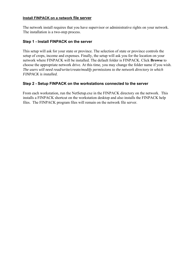#### **Install FINPACK on a network file server**

The network install requires that you have supervisor or administrative rights on your network. The installation is a two-step process.

### **Step 1 - Install FINPACK on the server**

This setup will ask for your state or province. The selection of state or province controls the setup of crops, income and expenses. Finally, the setup will ask you for the location on your network where FINPACK will be installed. The default folder is FINPACK. Click **Browse** to choose the appropriate network drive. At this time, you may change the folder name if you wish. *The users will need read/write/create/modify permissions to the network directory in which FINPACK is installed.*

### **Step 2 - Setup FINPACK on the workstations connected to the server**

From each workstation, run the NetSetup.exe in the FINPACK directory on the network. This installs a FINPACK shortcut on the workstation desktop and also installs the FINPACK help files. The FINPACK program files will remain on the network file server.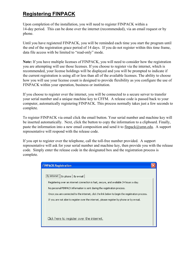# **Registering FINPACK**

Upon completion of the installation, you will need to register FINPACK within a 14-day period. This can be done over the internet (recommended), via an email request or by phone.

Until you have registered FINPACK, you will be reminded each time you start the program until the end of the registration grace period of 14 days. If you do not register within this time frame, data file access with be limited to "read-only" mode.

**Note:** If you have multiple licenses of FINPACK, you will need to consider how the registration you are attempting will use those licenses. If you choose to register via the internet, which is recommended, your license holdings will be displayed and you will be prompted to indicate if the current registration is using all or less than all of the available licenses. The ability to choose how you will use your license count is designed to provide flexibility as you configure the use of FINPACK within your operation, business or institution.

If you choose to register over the internet, you will be connected to a secure server to transfer your serial number and a unique machine key to CFFM. A release code is passed back to your computer, automatically registering FINPACK. This process normally takes just a few seconds to complete.

To register FINPACK via email click the email button. Your serial number and machine key will be inserted automatically. Next, click the button to copy the information to a clipboard. Finally, paste the information into a new email composition and send it to finpack $@$ umn.edu. A support representative will respond with the release code.

If you opt to register over the telephone, call the toll-free number provided. A support representative will ask for your serial number and machine key, then provide you with the release code. Simply enter the release code in the designated box and the registration process is complete.

| <b>FINPACK Registration</b>                                                                     |  |
|-------------------------------------------------------------------------------------------------|--|
|                                                                                                 |  |
| By internet<br>By phone   By e-mail                                                             |  |
| Registering over an internet connection is fast, secure, and available 24 hours a day.          |  |
| No personal FINPACK information is sent during the registration process.                        |  |
| Once you are connected to the internet, click the link below to begin the registration process. |  |
| If you are not able to register over the internet, please register by phone or by e-mail.       |  |
|                                                                                                 |  |
|                                                                                                 |  |
| Click here to register over the internet.                                                       |  |
|                                                                                                 |  |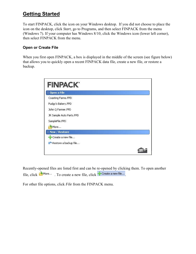## **Getting Started**

To start FINPACK, click the icon on your Windows desktop. If you did not choose to place the icon on the desktop, click *Start*, go to Programs, and then select FINPACK from the menu (Windows 7). If your computer has Windows 8/10, click the Windows icon (lower left corner), then select FINPACK from the menu.

## **Open or Create File**

When you first open FINPACK, a box is displayed in the middle of the screen (see figure below) that allows you to quickly open a recent FINPACK data file, create a new file, or restore a backup.

| <b>FINPACK'</b>          |  |
|--------------------------|--|
| $\hat{ }$ Open a File    |  |
| Coasting Farms.FPD       |  |
| Pudgy's Bakery.FPD       |  |
| John Q Farmer.FPD        |  |
| JR Sample Auto Parts.FPD |  |
| SampleFile.FPD           |  |
| More                     |  |
| New / Restore            |  |
| Create a new file        |  |
| Restore a backup file    |  |
|                          |  |

Recently-opened files are listed first and can be re-opened by clicking them. To open another file, click  $\mathbb{R}^{\text{More...}}$  . To create a new file, click  $\mathbb{R}^{\text{Create a new file...}}$ .

For other file options, click *File* from the FINPACK menu.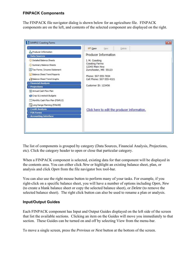### **FINPACK Components**

The FINPACK file navigator dialog is shown below for an agriculture file. FINPACK components are on the left, and contents of the selected component are displayed on the right.

| <b>A</b> Producer Information<br><b>Producer Information</b><br><b>Data Sources</b><br><b>OD</b> Detailed Balance Sheets<br>I. M. Coasting<br>Coasting Farms<br>Summary Balance Sheets<br>12345 Main Hwy<br>Tax Forms / Income Statement<br>Zumchester, MN 55123<br><b>Balance Sheet Trend Reports</b><br>Phone: 507-555-7654<br><b>Balance Sheet Trend Graphs</b><br>Cell Phone: 507-555-4321<br><b>&gt;&gt; Financial Analysis</b><br>Customer ID: 123456<br>$x$ Projections<br>12 Annual Cash Flow Plan<br>Crop & Livestock Budgets<br>Monthly Cash Flow Plan (FINFLO)<br>Long Range Planning (FINLRB) | <sup>o</sup> Open<br>Delete<br>New |  |
|-----------------------------------------------------------------------------------------------------------------------------------------------------------------------------------------------------------------------------------------------------------------------------------------------------------------------------------------------------------------------------------------------------------------------------------------------------------------------------------------------------------------------------------------------------------------------------------------------------------|------------------------------------|--|
|                                                                                                                                                                                                                                                                                                                                                                                                                                                                                                                                                                                                           |                                    |  |
|                                                                                                                                                                                                                                                                                                                                                                                                                                                                                                                                                                                                           |                                    |  |
|                                                                                                                                                                                                                                                                                                                                                                                                                                                                                                                                                                                                           |                                    |  |
|                                                                                                                                                                                                                                                                                                                                                                                                                                                                                                                                                                                                           |                                    |  |
|                                                                                                                                                                                                                                                                                                                                                                                                                                                                                                                                                                                                           |                                    |  |
|                                                                                                                                                                                                                                                                                                                                                                                                                                                                                                                                                                                                           |                                    |  |
|                                                                                                                                                                                                                                                                                                                                                                                                                                                                                                                                                                                                           |                                    |  |
|                                                                                                                                                                                                                                                                                                                                                                                                                                                                                                                                                                                                           |                                    |  |
|                                                                                                                                                                                                                                                                                                                                                                                                                                                                                                                                                                                                           |                                    |  |
|                                                                                                                                                                                                                                                                                                                                                                                                                                                                                                                                                                                                           |                                    |  |
|                                                                                                                                                                                                                                                                                                                                                                                                                                                                                                                                                                                                           |                                    |  |
|                                                                                                                                                                                                                                                                                                                                                                                                                                                                                                                                                                                                           |                                    |  |
|                                                                                                                                                                                                                                                                                                                                                                                                                                                                                                                                                                                                           |                                    |  |
| <b>&gt;&gt; Credit Analysis</b><br>Click here to edit the producer information.                                                                                                                                                                                                                                                                                                                                                                                                                                                                                                                           |                                    |  |
| <b>&gt;&gt; FSA Forms</b>                                                                                                                                                                                                                                                                                                                                                                                                                                                                                                                                                                                 |                                    |  |
| >> Accounting Interface                                                                                                                                                                                                                                                                                                                                                                                                                                                                                                                                                                                   |                                    |  |
|                                                                                                                                                                                                                                                                                                                                                                                                                                                                                                                                                                                                           |                                    |  |

The list of components is grouped by category (Data Sources, Financial Analysis, Projections, etc). Click the category header to open or close that particular category.

When a FINPACK component is selected, existing data for that component will be displayed in the contents area. You can either click *New* or highlight an existing balance sheet, plan, or analysis and click *Open* from the file navigator box tool-bar.

You can also use the right mouse button to perform many of your tasks. For example, if you right-click on a specific balance sheet, you will have a number of options including *Open*, *New* (to create a blank balance sheet or copy the selected balance sheet), or *Delete* (to remove the selected balance sheet). The right click button can also be used to rename a plan or analysis.

### **Input/Output Guides**

Each FINPACK component has Input and Output Guides displayed on the left side of the screen that list the available sections. Clicking an item on the Guides will move you immediately to that section. These Guides can be turned on and off by selecting View from the menu-bar.

To move a single screen, press the *Previous* or *Next* button at the bottom of the screen.